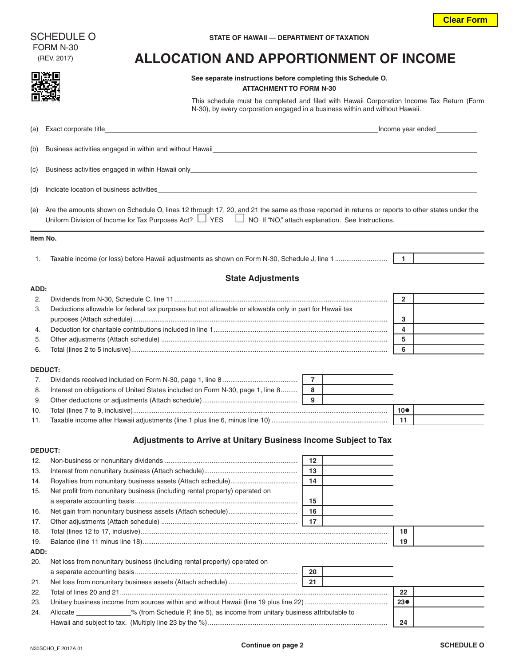FORM N-30

## (REV. 2017) **ALLOCATION AND APPORTIONMENT OF INCOME**

**EXALCERTIZATION** See separate instructions before completing this Schedule O.

|          | <b>ATTACHMENT TO FORM N-30</b>                                                                                                                                                                                                                                          |    |                 |                   |
|----------|-------------------------------------------------------------------------------------------------------------------------------------------------------------------------------------------------------------------------------------------------------------------------|----|-----------------|-------------------|
|          | This schedule must be completed and filed with Hawaii Corporation Income Tax Return (Form<br>N-30), by every corporation engaged in a business within and without Hawaii.                                                                                               |    |                 |                   |
| (a)      | Exact corporate title_<br><u> 1980 - Johann Barbara, martxa al III-lea (h. 1980).</u>                                                                                                                                                                                   |    |                 | Income year ended |
| (b)      | Business activities engaged in within and without Hawaii <b>Express 2008</b> and 2008 and 2008 and 2008 and 2008 and 2008 and 2008 and 2008 and 2008 and 2008 and 2008 and 2008 and 2008 and 2008 and 2008 and 2008 and 2008 and 20                                     |    |                 |                   |
| (c)      |                                                                                                                                                                                                                                                                         |    |                 |                   |
| (d)      | Indicate location of business activities <b>Exercía Contract and Contract Contract Contract Contract Contract Contract Contract Contract Contract Contract Contract Contract Contract Contract Contract Contract Contract Contra</b>                                    |    |                 |                   |
| (e)      | Are the amounts shown on Schedule O, lines 12 through 17, 20, and 21 the same as those reported in returns or reports to other states under the<br>Uniform Division of Income for Tax Purposes Act? $\Box$ YES $\Box$ NO If "NO," attach explanation. See Instructions. |    |                 |                   |
| ltem No. |                                                                                                                                                                                                                                                                         |    |                 |                   |
| 1.       |                                                                                                                                                                                                                                                                         |    |                 |                   |
| ADD:     | <b>State Adjustments</b>                                                                                                                                                                                                                                                |    |                 |                   |
| 2.       |                                                                                                                                                                                                                                                                         |    | $\overline{2}$  |                   |
| 3.       | Deductions allowable for federal tax purposes but not allowable or allowable only in part for Hawaii tax                                                                                                                                                                |    |                 |                   |
|          |                                                                                                                                                                                                                                                                         |    | 3               |                   |
| 4.       |                                                                                                                                                                                                                                                                         |    | 4               |                   |
| 5.       |                                                                                                                                                                                                                                                                         |    | 5<br>6          |                   |
| 6.       |                                                                                                                                                                                                                                                                         |    |                 |                   |
|          | <b>DEDUCT:</b>                                                                                                                                                                                                                                                          |    |                 |                   |
| 7.       |                                                                                                                                                                                                                                                                         |    |                 |                   |
| 8.       | Interest on obligations of United States included on Form N-30, page 1, line 8                                                                                                                                                                                          | 8  |                 |                   |
| 9.       |                                                                                                                                                                                                                                                                         | 9  |                 |                   |
| 10.      |                                                                                                                                                                                                                                                                         |    | $10\bullet$     |                   |
| 11.      |                                                                                                                                                                                                                                                                         |    | 11              |                   |
|          | Adjustments to Arrive at Unitary Business Income Subject to Tax                                                                                                                                                                                                         |    |                 |                   |
|          | <b>DEDUCT:</b>                                                                                                                                                                                                                                                          |    |                 |                   |
|          |                                                                                                                                                                                                                                                                         | 12 |                 |                   |
| 13.      |                                                                                                                                                                                                                                                                         | 13 |                 |                   |
| 14.      |                                                                                                                                                                                                                                                                         | 14 |                 |                   |
| 15.      | Net profit from nonunitary business (including rental property) operated on                                                                                                                                                                                             |    |                 |                   |
|          |                                                                                                                                                                                                                                                                         | 15 |                 |                   |
| 16.      |                                                                                                                                                                                                                                                                         | 16 |                 |                   |
| 17.      |                                                                                                                                                                                                                                                                         | 17 |                 |                   |
| 18.      |                                                                                                                                                                                                                                                                         |    | 18              |                   |
| 19.      |                                                                                                                                                                                                                                                                         |    | 19              |                   |
| ADD:     |                                                                                                                                                                                                                                                                         |    |                 |                   |
| 20.      | Net loss from nonunitary business (including rental property) operated on                                                                                                                                                                                               |    |                 |                   |
|          |                                                                                                                                                                                                                                                                         | 20 |                 |                   |
| 21.      |                                                                                                                                                                                                                                                                         | 21 |                 |                   |
| 22.      |                                                                                                                                                                                                                                                                         |    | 22              |                   |
| 23.      |                                                                                                                                                                                                                                                                         |    | 23 <sub>•</sub> |                   |
| 24.      | Allocate ______________% (from Schedule P, line 5), as income from unitary business attributable to                                                                                                                                                                     |    | 24              |                   |
|          |                                                                                                                                                                                                                                                                         |    |                 |                   |